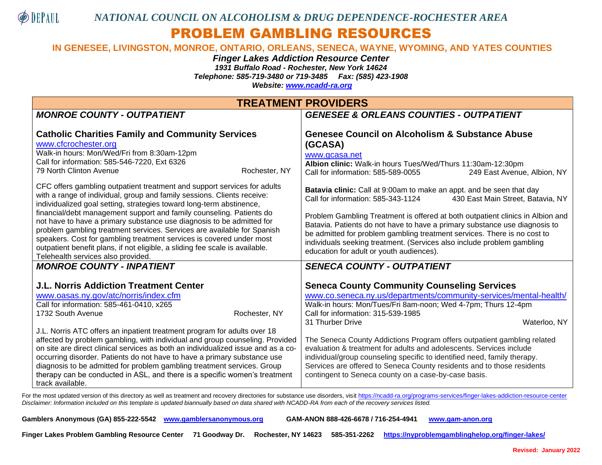

## PROBLEM GAMBLING RESOURCES

## **IN GENESEE, LIVINGSTON, MONROE, ONTARIO, ORLEANS, SENECA, WAYNE, WYOMING, AND YATES COUNTIES**

*Finger Lakes Addiction Resource Center*

*1931 Buffalo Road - Rochester, New York 14624 Telephone: 585-719-3480 or 719-3485 Fax: (585) 423-1908*

*Website: [www.ncadd-ra.org](http://www.ncadd-ra.org/)*

| <b>TREATMENT PROVIDERS</b>                                                                                                                                                                                                                                                                                                                                                                                                                                                                                                                                                                                                                            |                                                                                                                                                                                                                                                                                                                                                                                                                                                                                                                                                                              |  |  |
|-------------------------------------------------------------------------------------------------------------------------------------------------------------------------------------------------------------------------------------------------------------------------------------------------------------------------------------------------------------------------------------------------------------------------------------------------------------------------------------------------------------------------------------------------------------------------------------------------------------------------------------------------------|------------------------------------------------------------------------------------------------------------------------------------------------------------------------------------------------------------------------------------------------------------------------------------------------------------------------------------------------------------------------------------------------------------------------------------------------------------------------------------------------------------------------------------------------------------------------------|--|--|
| <b>MONROE COUNTY - OUTPATIENT</b>                                                                                                                                                                                                                                                                                                                                                                                                                                                                                                                                                                                                                     | <b>GENESEE &amp; ORLEANS COUNTIES - OUTPATIENT</b>                                                                                                                                                                                                                                                                                                                                                                                                                                                                                                                           |  |  |
| <b>Catholic Charities Family and Community Services</b><br>www.cfcrochester.org<br>Walk-in hours: Mon/Wed/Fri from 8:30am-12pm<br>Call for information: 585-546-7220, Ext 6326<br>79 North Clinton Avenue<br>Rochester, NY                                                                                                                                                                                                                                                                                                                                                                                                                            | <b>Genesee Council on Alcoholism &amp; Substance Abuse</b><br>(GCASA)<br>www.gcasa.net<br>Albion clinic: Walk-in hours Tues/Wed/Thurs 11:30am-12:30pm<br>Call for information: 585-589-0055<br>249 East Avenue, Albion, NY                                                                                                                                                                                                                                                                                                                                                   |  |  |
| CFC offers gambling outpatient treatment and support services for adults<br>with a range of individual, group and family sessions. Clients receive:<br>individualized goal setting, strategies toward long-term abstinence,<br>financial/debt management support and family counseling. Patients do<br>not have to have a primary substance use diagnosis to be admitted for<br>problem gambling treatment services. Services are available for Spanish<br>speakers. Cost for gambling treatment services is covered under most<br>outpatient benefit plans, if not eligible, a sliding fee scale is available.<br>Telehealth services also provided. | Batavia clinic: Call at 9:00am to make an appt. and be seen that day<br>430 East Main Street, Batavia, NY<br>Call for information: 585-343-1124<br>Problem Gambling Treatment is offered at both outpatient clinics in Albion and<br>Batavia. Patients do not have to have a primary substance use diagnosis to<br>be admitted for problem gambling treatment services. There is no cost to<br>individuals seeking treatment. (Services also include problem gambling<br>education for adult or youth audiences).                                                            |  |  |
| <b>MONROE COUNTY - INPATIENT</b><br><b>J.L. Norris Addiction Treatment Center</b>                                                                                                                                                                                                                                                                                                                                                                                                                                                                                                                                                                     | <b>SENECA COUNTY - OUTPATIENT</b><br><b>Seneca County Community Counseling Services</b>                                                                                                                                                                                                                                                                                                                                                                                                                                                                                      |  |  |
| www.oasas.ny.gov/atc/norris/index.cfm<br>Call for information: 585-461-0410, x265<br>1732 South Avenue<br>Rochester, NY<br>J.L. Norris ATC offers an inpatient treatment program for adults over 18<br>affected by problem gambling, with individual and group counseling. Provided<br>on site are direct clinical services as both an individualized issue and as a co-<br>occurring disorder. Patients do not have to have a primary substance use<br>diagnosis to be admitted for problem gambling treatment services. Group<br>therapy can be conducted in ASL, and there is a specific women's treatment<br>track available.                     | www.co.seneca.ny.us/departments/community-services/mental-health/<br>Walk-in hours: Mon/Tues/Fri 8am-noon; Wed 4-7pm; Thurs 12-4pm<br>Call for information: 315-539-1985<br>Waterloo, NY<br>31 Thurber Drive<br>The Seneca County Addictions Program offers outpatient gambling related<br>evaluation & treatment for adults and adolescents. Services include<br>individual/group counseling specific to identified need, family therapy.<br>Services are offered to Seneca County residents and to those residents<br>contingent to Seneca county on a case-by-case basis. |  |  |

For the most updated version of this directory as well as treatment and recovery directories for substance use disorders, visi[t https://ncadd-ra.org/programs-services/finger-lakes-addiction-resource-center](https://ncadd-ra.org/programs-services/finger-lakes-addiction-resource-center) *Disclaimer: Information included on this template is updated biannually based on data shared with NCADD-RA from each of the recovery services listed.* 

| Gamblers Anonymous (GA) 855-222-5542 www.gamblersanonymous.org | GAM-ANON 888-426-6678 / 716-254-4941 www.gam-anon.org |  |
|----------------------------------------------------------------|-------------------------------------------------------|--|
|                                                                |                                                       |  |